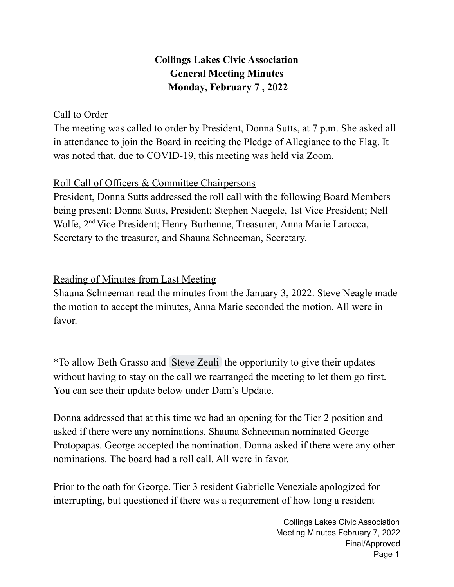## **Collings Lakes Civic Association General Meeting Minutes Monday, February 7 , 2022**

#### Call to Order

The meeting was called to order by President, Donna Sutts, at 7 p.m. She asked all in attendance to join the Board in reciting the Pledge of Allegiance to the Flag. It was noted that, due to COVID-19, this meeting was held via Zoom.

#### Roll Call of Officers & Committee Chairpersons

President, Donna Sutts addressed the roll call with the following Board Members being present: Donna Sutts, President; Stephen Naegele, 1st Vice President; Nell Wolfe, 2<sup>nd</sup> Vice President; Henry Burhenne, Treasurer, Anna Marie Larocca, Secretary to the treasurer, and Shauna Schneeman, Secretary.

### Reading of Minutes from Last Meeting

Shauna Schneeman read the minutes from the January 3, 2022. Steve Neagle made the motion to accept the minutes, Anna Marie seconded the motion. All were in favor.

\*To allow Beth Grasso and [Steve](mailto:szeuli@rdzeuli.com) Zeuli the opportunity to give their updates without having to stay on the call we rearranged the meeting to let them go first. You can see their update below under Dam's Update.

Donna addressed that at this time we had an opening for the Tier 2 position and asked if there were any nominations. Shauna Schneeman nominated George Protopapas. George accepted the nomination. Donna asked if there were any other nominations. The board had a roll call. All were in favor.

Prior to the oath for George. Tier 3 resident Gabrielle Veneziale apologized for interrupting, but questioned if there was a requirement of how long a resident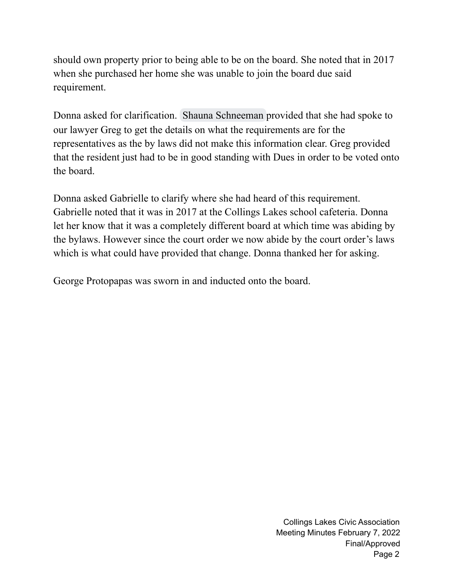should own property prior to being able to be on the board. She noted that in 2017 when she purchased her home she was unable to join the board due said requirement.

Donna asked for clarification. Shauna [Schneeman](mailto:shaunas@collingslakes.org) provided that she had spoke to our lawyer Greg to get the details on what the requirements are for the representatives as the by laws did not make this information clear. Greg provided that the resident just had to be in good standing with Dues in order to be voted onto the board.

Donna asked Gabrielle to clarify where she had heard of this requirement. Gabrielle noted that it was in 2017 at the Collings Lakes school cafeteria. Donna let her know that it was a completely different board at which time was abiding by the bylaws. However since the court order we now abide by the court order's laws which is what could have provided that change. Donna thanked her for asking.

George Protopapas was sworn in and inducted onto the board.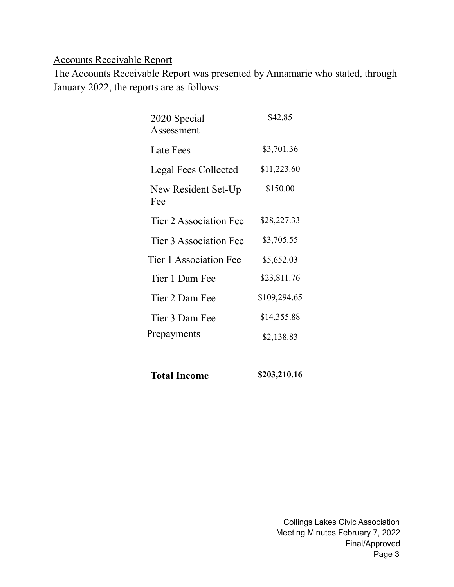## Accounts Receivable Report

The Accounts Receivable Report was presented by Annamarie who stated, through January 2022, the reports are as follows:

| 2020 Special<br>Assessment  | \$42.85      |
|-----------------------------|--------------|
| Late Fees                   | \$3,701.36   |
| <b>Legal Fees Collected</b> | \$11,223.60  |
| New Resident Set-Up<br>Fee  | \$150.00     |
| Tier 2 Association Fee      | \$28,227.33  |
| Tier 3 Association Fee      | \$3,705.55   |
| Tier 1 Association Fee      | \$5,652.03   |
| Tier 1 Dam Fee              | \$23,811.76  |
| Tier 2 Dam Fee              | \$109,294.65 |
| Tier 3 Dam Fee              | \$14,355.88  |
| Prepayments                 | \$2,138.83   |
|                             |              |

| <b>Total Income</b> | \$203,210.16 |
|---------------------|--------------|
|---------------------|--------------|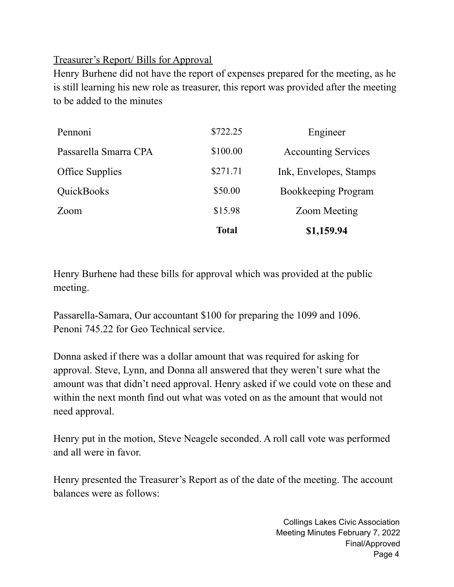#### Treasurer's Report/ Bills for Approval

Henry Burhene did not have the report of expenses prepared for the meeting, as he is still learning his new role as treasurer, this report was provided after the meeting to be added to the minutes

|                        | <b>Total</b> | \$1,159.94                 |
|------------------------|--------------|----------------------------|
| Zoom                   | \$15.98      | <b>Zoom Meeting</b>        |
| QuickBooks             | \$50.00      | <b>Bookkeeping Program</b> |
| <b>Office Supplies</b> | \$271.71     | Ink, Envelopes, Stamps     |
| Passarella Smarra CPA  | \$100.00     | <b>Accounting Services</b> |
| Pennoni                | \$722.25     | Engineer                   |

Henry Burhene had these bills for approval which was provided at the public meeting.

Passarella-Samara, Our accountant \$100 for preparing the 1099 and 1096. Penoni 745.22 for Geo Technical service.

Donna asked if there was a dollar amount that was required for asking for approval. Steve, Lynn, and Donna all answered that they weren't sure what the amount was that didn't need approval. Henry asked if we could vote on these and within the next month find out what was voted on as the amount that would not need approval.

Henry put in the motion, Steve Neagele seconded. A roll call vote was performed and all were in favor.

Henry presented the Treasurer's Report as of the date of the meeting. The account balances were as follows: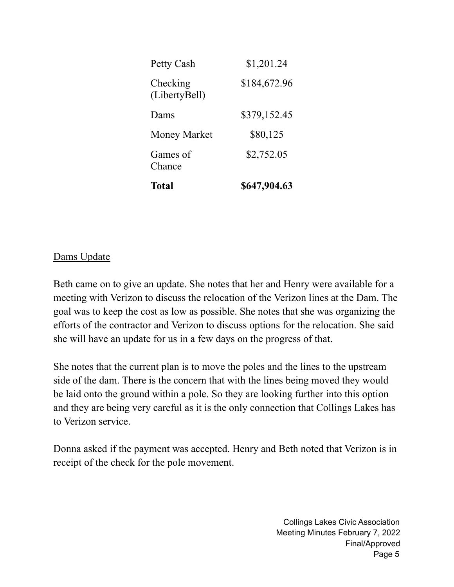| Total                     | \$647,904.63 |
|---------------------------|--------------|
| Games of<br>Chance        | \$2,752.05   |
| <b>Money Market</b>       | \$80,125     |
| Dams                      | \$379,152.45 |
| Checking<br>(LibertyBell) | \$184,672.96 |
| Petty Cash                | \$1,201.24   |

#### Dams Update

Beth came on to give an update. She notes that her and Henry were available for a meeting with Verizon to discuss the relocation of the Verizon lines at the Dam. The goal was to keep the cost as low as possible. She notes that she was organizing the efforts of the contractor and Verizon to discuss options for the relocation. She said she will have an update for us in a few days on the progress of that.

She notes that the current plan is to move the poles and the lines to the upstream side of the dam. There is the concern that with the lines being moved they would be laid onto the ground within a pole. So they are looking further into this option and they are being very careful as it is the only connection that Collings Lakes has to Verizon service.

Donna asked if the payment was accepted. Henry and Beth noted that Verizon is in receipt of the check for the pole movement.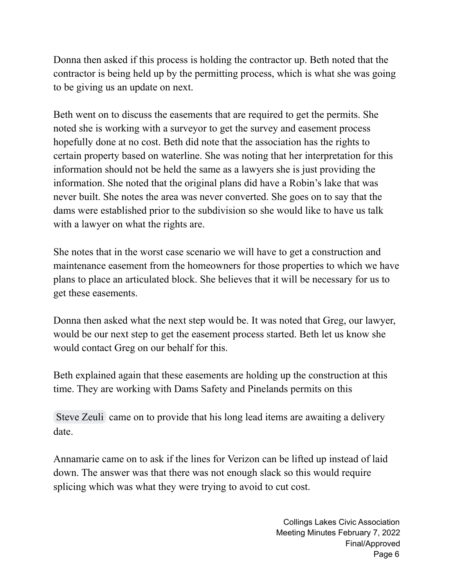Donna then asked if this process is holding the contractor up. Beth noted that the contractor is being held up by the permitting process, which is what she was going to be giving us an update on next.

Beth went on to discuss the easements that are required to get the permits. She noted she is working with a surveyor to get the survey and easement process hopefully done at no cost. Beth did note that the association has the rights to certain property based on waterline. She was noting that her interpretation for this information should not be held the same as a lawyers she is just providing the information. She noted that the original plans did have a Robin's lake that was never built. She notes the area was never converted. She goes on to say that the dams were established prior to the subdivision so she would like to have us talk with a lawyer on what the rights are.

She notes that in the worst case scenario we will have to get a construction and maintenance easement from the homeowners for those properties to which we have plans to place an articulated block. She believes that it will be necessary for us to get these easements.

Donna then asked what the next step would be. It was noted that Greg, our lawyer, would be our next step to get the easement process started. Beth let us know she would contact Greg on our behalf for this.

Beth explained again that these easements are holding up the construction at this time. They are working with Dams Safety and Pinelands permits on this

[Steve](mailto:szeuli@rdzeuli.com) Zeuli came on to provide that his long lead items are awaiting a delivery date.

Annamarie came on to ask if the lines for Verizon can be lifted up instead of laid down. The answer was that there was not enough slack so this would require splicing which was what they were trying to avoid to cut cost.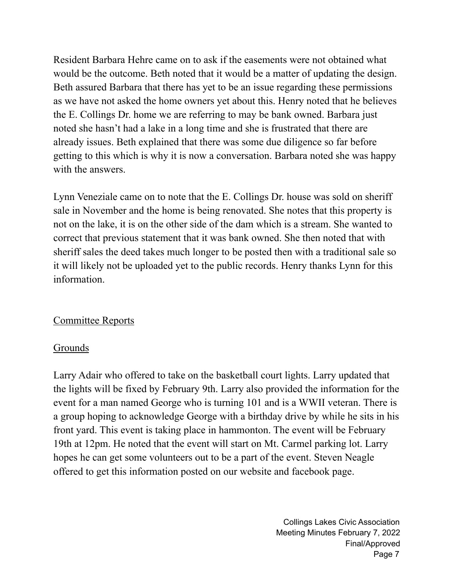Resident Barbara Hehre came on to ask if the easements were not obtained what would be the outcome. Beth noted that it would be a matter of updating the design. Beth assured Barbara that there has yet to be an issue regarding these permissions as we have not asked the home owners yet about this. Henry noted that he believes the E. Collings Dr. home we are referring to may be bank owned. Barbara just noted she hasn't had a lake in a long time and she is frustrated that there are already issues. Beth explained that there was some due diligence so far before getting to this which is why it is now a conversation. Barbara noted she was happy with the answers.

Lynn Veneziale came on to note that the E. Collings Dr. house was sold on sheriff sale in November and the home is being renovated. She notes that this property is not on the lake, it is on the other side of the dam which is a stream. She wanted to correct that previous statement that it was bank owned. She then noted that with sheriff sales the deed takes much longer to be posted then with a traditional sale so it will likely not be uploaded yet to the public records. Henry thanks Lynn for this information.

#### Committee Reports

## Grounds

Larry Adair who offered to take on the basketball court lights. Larry updated that the lights will be fixed by February 9th. Larry also provided the information for the event for a man named George who is turning 101 and is a WWII veteran. There is a group hoping to acknowledge George with a birthday drive by while he sits in his front yard. This event is taking place in hammonton. The event will be February 19th at 12pm. He noted that the event will start on Mt. Carmel parking lot. Larry hopes he can get some volunteers out to be a part of the event. Steven Neagle offered to get this information posted on our website and facebook page.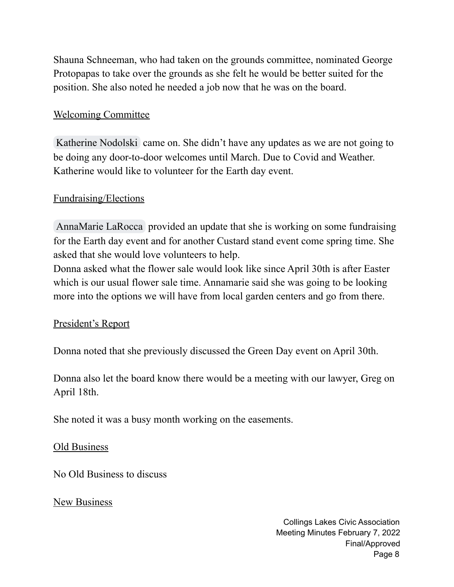Shauna Schneeman, who had taken on the grounds committee, nominated George Protopapas to take over the grounds as she felt he would be better suited for the position. She also noted he needed a job now that he was on the board.

#### Welcoming Committee

[Katherine](mailto:Plantikat@gmail.com) Nodolski came on. She didn't have any updates as we are not going to be doing any door-to-door welcomes until March. Due to Covid and Weather. Katherine would like to volunteer for the Earth day event.

#### Fundraising/Elections

[AnnaMarie](mailto:alarocca@collingslakes.org) LaRocca provided an update that she is working on some fundraising for the Earth day event and for another Custard stand event come spring time. She asked that she would love volunteers to help.

Donna asked what the flower sale would look like since April 30th is after Easter which is our usual flower sale time. Annamarie said she was going to be looking more into the options we will have from local garden centers and go from there.

#### President's Report

Donna noted that she previously discussed the Green Day event on April 30th.

Donna also let the board know there would be a meeting with our lawyer, Greg on April 18th.

She noted it was a busy month working on the easements.

#### Old Business

No Old Business to discuss

New Business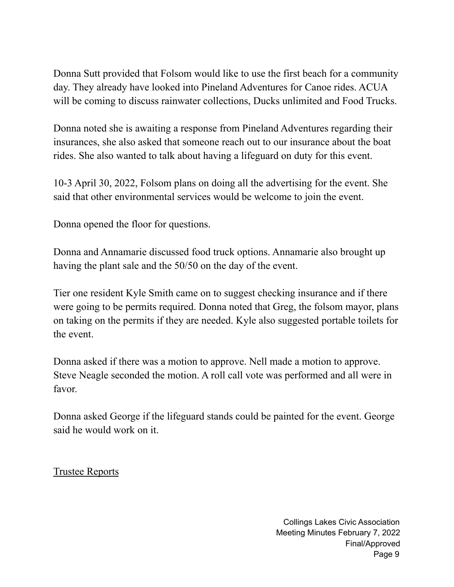Donna Sutt provided that Folsom would like to use the first beach for a community day. They already have looked into Pineland Adventures for Canoe rides. ACUA will be coming to discuss rainwater collections, Ducks unlimited and Food Trucks.

Donna noted she is awaiting a response from Pineland Adventures regarding their insurances, she also asked that someone reach out to our insurance about the boat rides. She also wanted to talk about having a lifeguard on duty for this event.

10-3 April 30, 2022, Folsom plans on doing all the advertising for the event. She said that other environmental services would be welcome to join the event.

Donna opened the floor for questions.

Donna and Annamarie discussed food truck options. Annamarie also brought up having the plant sale and the 50/50 on the day of the event.

Tier one resident Kyle Smith came on to suggest checking insurance and if there were going to be permits required. Donna noted that Greg, the folsom mayor, plans on taking on the permits if they are needed. Kyle also suggested portable toilets for the event.

Donna asked if there was a motion to approve. Nell made a motion to approve. Steve Neagle seconded the motion. A roll call vote was performed and all were in favor.

Donna asked George if the lifeguard stands could be painted for the event. George said he would work on it.

Trustee Reports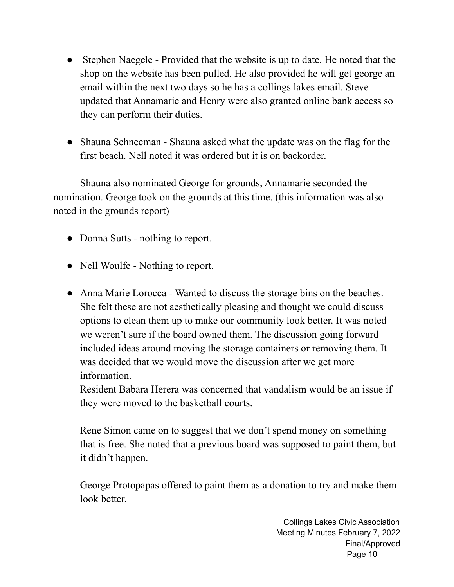- Stephen Naegele Provided that the website is up to date. He noted that the shop on the website has been pulled. He also provided he will get george an email within the next two days so he has a collings lakes email. Steve updated that Annamarie and Henry were also granted online bank access so they can perform their duties.
- Shauna Schneeman Shauna asked what the update was on the flag for the first beach. Nell noted it was ordered but it is on backorder.

Shauna also nominated George for grounds, Annamarie seconded the nomination. George took on the grounds at this time. (this information was also noted in the grounds report)

- Donna Sutts nothing to report.
- Nell Woulfe Nothing to report.
- Anna Marie Lorocca Wanted to discuss the storage bins on the beaches. She felt these are not aesthetically pleasing and thought we could discuss options to clean them up to make our community look better. It was noted we weren't sure if the board owned them. The discussion going forward included ideas around moving the storage containers or removing them. It was decided that we would move the discussion after we get more information.

Resident Babara Herera was concerned that vandalism would be an issue if they were moved to the basketball courts.

Rene Simon came on to suggest that we don't spend money on something that is free. She noted that a previous board was supposed to paint them, but it didn't happen.

George Protopapas offered to paint them as a donation to try and make them look better.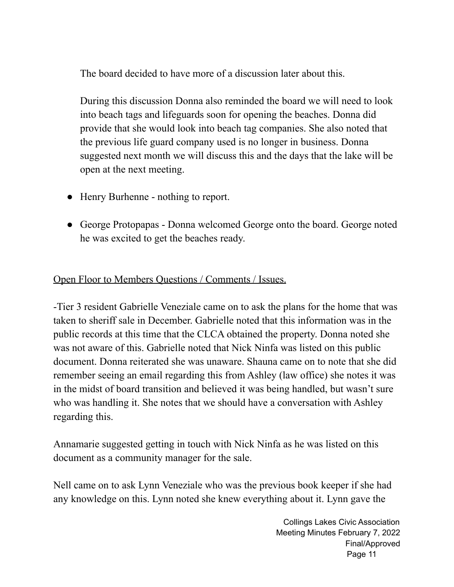The board decided to have more of a discussion later about this.

During this discussion Donna also reminded the board we will need to look into beach tags and lifeguards soon for opening the beaches. Donna did provide that she would look into beach tag companies. She also noted that the previous life guard company used is no longer in business. Donna suggested next month we will discuss this and the days that the lake will be open at the next meeting.

- Henry Burhenne nothing to report.
- George Protopapas Donna welcomed George onto the board. George noted he was excited to get the beaches ready.

#### Open Floor to Members Questions / Comments / Issues.

-Tier 3 resident Gabrielle Veneziale came on to ask the plans for the home that was taken to sheriff sale in December. Gabrielle noted that this information was in the public records at this time that the CLCA obtained the property. Donna noted she was not aware of this. Gabrielle noted that Nick Ninfa was listed on this public document. Donna reiterated she was unaware. Shauna came on to note that she did remember seeing an email regarding this from Ashley (law office) she notes it was in the midst of board transition and believed it was being handled, but wasn't sure who was handling it. She notes that we should have a conversation with Ashley regarding this.

Annamarie suggested getting in touch with Nick Ninfa as he was listed on this document as a community manager for the sale.

Nell came on to ask Lynn Veneziale who was the previous book keeper if she had any knowledge on this. Lynn noted she knew everything about it. Lynn gave the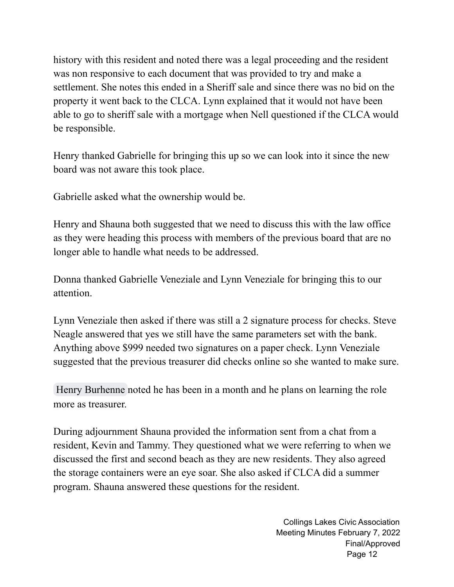history with this resident and noted there was a legal proceeding and the resident was non responsive to each document that was provided to try and make a settlement. She notes this ended in a Sheriff sale and since there was no bid on the property it went back to the CLCA. Lynn explained that it would not have been able to go to sheriff sale with a mortgage when Nell questioned if the CLCA would be responsible.

Henry thanked Gabrielle for bringing this up so we can look into it since the new board was not aware this took place.

Gabrielle asked what the ownership would be.

Henry and Shauna both suggested that we need to discuss this with the law office as they were heading this process with members of the previous board that are no longer able to handle what needs to be addressed.

Donna thanked Gabrielle Veneziale and Lynn Veneziale for bringing this to our attention.

Lynn Veneziale then asked if there was still a 2 signature process for checks. Steve Neagle answered that yes we still have the same parameters set with the bank. Anything above \$999 needed two signatures on a paper check. Lynn Veneziale suggested that the previous treasurer did checks online so she wanted to make sure.

Henry [Burhenne](mailto:hburhenne@collingslakes.org) noted he has been in a month and he plans on learning the role more as treasurer.

During adjournment Shauna provided the information sent from a chat from a resident, Kevin and Tammy. They questioned what we were referring to when we discussed the first and second beach as they are new residents. They also agreed the storage containers were an eye soar. She also asked if CLCA did a summer program. Shauna answered these questions for the resident.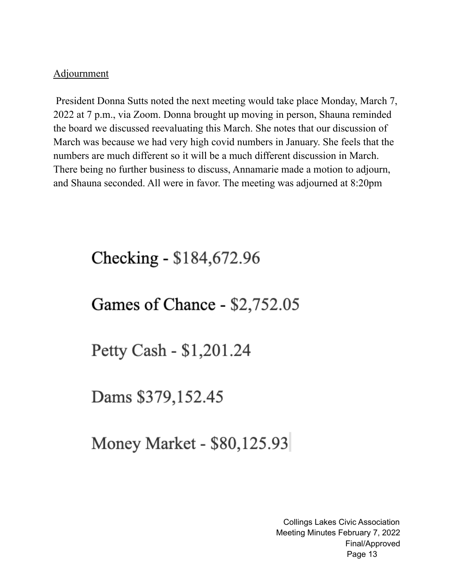#### Adjournment

President Donna Sutts noted the next meeting would take place Monday, March 7, 2022 at 7 p.m., via Zoom. Donna brought up moving in person, Shauna reminded the board we discussed reevaluating this March. She notes that our discussion of March was because we had very high covid numbers in January. She feels that the numbers are much different so it will be a much different discussion in March. There being no further business to discuss, Annamarie made a motion to adjourn, and Shauna seconded. All were in favor. The meeting was adjourned at 8:20pm

# Checking - \$184,672.96

## Games of Chance - \$2,752.05

Petty Cash - \$1,201.24

Dams \$379,152.45

Money Market - \$80,125.93